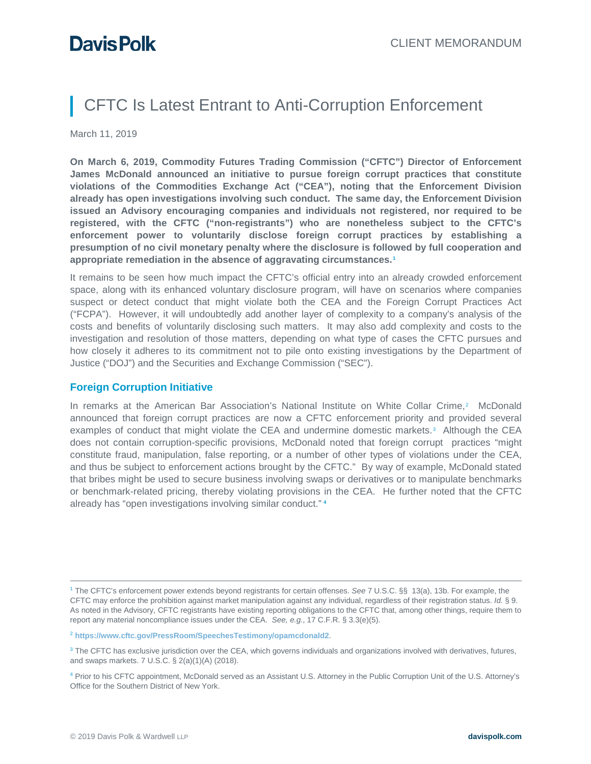# CFTC Is Latest Entrant to Anti-Corruption Enforcement

March 11, 2019

**On March 6, 2019, Commodity Futures Trading Commission ("CFTC") Director of Enforcement James McDonald announced an initiative to pursue foreign corrupt practices that constitute violations of the Commodities Exchange Act ("CEA"), noting that the Enforcement Division already has open investigations involving such conduct. The same day, the Enforcement Division issued an Advisory encouraging companies and individuals not registered, nor required to be registered, with the CFTC ("non-registrants") who are nonetheless subject to the CFTC's enforcement power to voluntarily disclose foreign corrupt practices by establishing a presumption of no civil monetary penalty where the disclosure is followed by full cooperation and appropriate remediation in the absence of aggravating circumstances.[1](#page-0-0)**

It remains to be seen how much impact the CFTC's official entry into an already crowded enforcement space, along with its enhanced voluntary disclosure program, will have on scenarios where companies suspect or detect conduct that might violate both the CEA and the Foreign Corrupt Practices Act ("FCPA"). However, it will undoubtedly add another layer of complexity to a company's analysis of the costs and benefits of voluntarily disclosing such matters. It may also add complexity and costs to the investigation and resolution of those matters, depending on what type of cases the CFTC pursues and how closely it adheres to its commitment not to pile onto existing investigations by the Department of Justice ("DOJ") and the Securities and Exchange Commission ("SEC").

### **Foreign Corruption Initiative**

In remarks at the American Bar Association's National Institute on White Collar Crime,<sup>[2](#page-0-1)</sup> McDonald announced that foreign corrupt practices are now a CFTC enforcement priority and provided several examples of conduct that might violate the CEA and undermine domestic markets.<sup>[3](#page-0-2)</sup> Although the CEA does not contain corruption-specific provisions, McDonald noted that foreign corrupt practices "might constitute fraud, manipulation, false reporting, or a number of other types of violations under the CEA, and thus be subject to enforcement actions brought by the CFTC." By way of example, McDonald stated that bribes might be used to secure business involving swaps or derivatives or to manipulate benchmarks or benchmark-related pricing, thereby violating provisions in the CEA. He further noted that the CFTC already has "open investigations involving similar conduct." **[4](#page-0-3)**

<span id="page-0-1"></span><sup>2</sup> **<https://www.cftc.gov/PressRoom/SpeechesTestimony/opamcdonald2>**.

<span id="page-0-0"></span> <sup>1</sup> The CFTC's enforcement power extends beyond registrants for certain offenses. *See* 7 U.S.C. §§ 13(a), 13b. For example, the CFTC may enforce the prohibition against market manipulation against any individual, regardless of their registration status. *Id.* § 9. As noted in the Advisory, CFTC registrants have existing reporting obligations to the CFTC that, among other things, require them to report any material noncompliance issues under the CEA. *See, e.g.*, 17 C.F.R. § 3.3(e)(5).

<span id="page-0-2"></span><sup>&</sup>lt;sup>3</sup> The CFTC has exclusive jurisdiction over the CEA, which governs individuals and organizations involved with derivatives, futures, and swaps markets. 7 U.S.C. § 2(a)(1)(A) (2018).

<span id="page-0-3"></span><sup>4</sup> Prior to his CFTC appointment, McDonald served as an Assistant U.S. Attorney in the Public Corruption Unit of the U.S. Attorney's Office for the Southern District of New York.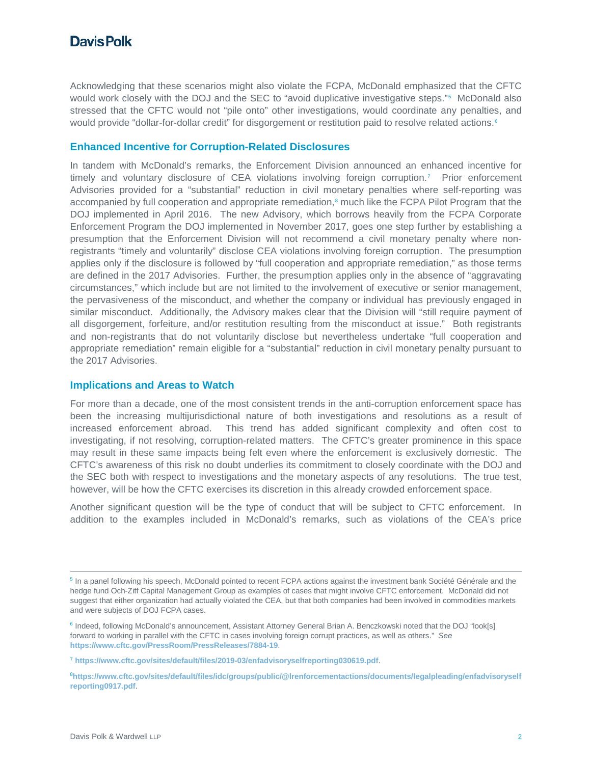Acknowledging that these scenarios might also violate the FCPA, McDonald emphasized that the CFTC would work closely with the DOJ and the SEC to "avoid duplicative investigative steps."<sup>[5](#page-1-0)</sup> McDonald also stressed that the CFTC would not "pile onto" other investigations, would coordinate any penalties, and would provide "dollar-for-dollar credit" for disgorgement or restitution paid to resolve related actions.<sup>[6](#page-1-1)</sup>

### **Enhanced Incentive for Corruption-Related Disclosures**

In tandem with McDonald's remarks, the Enforcement Division announced an enhanced incentive for timely and voluntary disclosure of CEA violations involving foreign corruption.[7](#page-1-2) Prior enforcement Advisories provided for a "substantial" reduction in civil monetary penalties where self-reporting was accompanied by full cooperation and appropriate remediation,<sup>[8](#page-1-3)</sup> much like the FCPA Pilot Program that the DOJ implemented in April 2016. The new Advisory, which borrows heavily from the FCPA Corporate Enforcement Program the DOJ implemented in November 2017, goes one step further by establishing a presumption that the Enforcement Division will not recommend a civil monetary penalty where nonregistrants "timely and voluntarily" disclose CEA violations involving foreign corruption. The presumption applies only if the disclosure is followed by "full cooperation and appropriate remediation," as those terms are defined in the 2017 Advisories. Further, the presumption applies only in the absence of "aggravating circumstances," which include but are not limited to the involvement of executive or senior management, the pervasiveness of the misconduct, and whether the company or individual has previously engaged in similar misconduct. Additionally, the Advisory makes clear that the Division will "still require payment of all disgorgement, forfeiture, and/or restitution resulting from the misconduct at issue." Both registrants and non-registrants that do not voluntarily disclose but nevertheless undertake "full cooperation and appropriate remediation" remain eligible for a "substantial" reduction in civil monetary penalty pursuant to the 2017 Advisories.

### **Implications and Areas to Watch**

For more than a decade, one of the most consistent trends in the anti-corruption enforcement space has been the increasing multijurisdictional nature of both investigations and resolutions as a result of increased enforcement abroad. This trend has added significant complexity and often cost to investigating, if not resolving, corruption-related matters. The CFTC's greater prominence in this space may result in these same impacts being felt even where the enforcement is exclusively domestic. The CFTC's awareness of this risk no doubt underlies its commitment to closely coordinate with the DOJ and the SEC both with respect to investigations and the monetary aspects of any resolutions. The true test, however, will be how the CFTC exercises its discretion in this already crowded enforcement space.

Another significant question will be the type of conduct that will be subject to CFTC enforcement. In addition to the examples included in McDonald's remarks, such as violations of the CEA's price

<span id="page-1-0"></span><sup>&</sup>lt;sup>5</sup> In a panel following his speech, McDonald pointed to recent FCPA actions against the investment bank Société Générale and the hedge fund Och-Ziff Capital Management Group as examples of cases that might involve CFTC enforcement. McDonald did not suggest that either organization had actually violated the CEA, but that both companies had been involved in commodities markets and were subjects of DOJ FCPA cases.

<span id="page-1-1"></span><sup>&</sup>lt;sup>6</sup> Indeed, following McDonald's announcement, Assistant Attorney General Brian A. Benczkowski noted that the DOJ "look[s] forward to working in parallel with the CFTC in cases involving foreign corrupt practices, as well as others." *See* **<https://www.cftc.gov/PressRoom/PressReleases/7884-19>**.

<span id="page-1-2"></span><sup>7</sup> **<https://www.cftc.gov/sites/default/files/2019-03/enfadvisoryselfreporting030619.pdf>**.

<span id="page-1-3"></span><sup>8</sup> **[https://www.cftc.gov/sites/default/files/idc/groups/public/@lrenforcementactions/documents/legalpleading/enfadvisoryself](https://www.cftc.gov/sites/default/files/idc/groups/public/@lrenforcementactions/documents/legalpleading/enfadvisoryselfreporting0917.pdf) [reporting0917.pdf](https://www.cftc.gov/sites/default/files/idc/groups/public/@lrenforcementactions/documents/legalpleading/enfadvisoryselfreporting0917.pdf)**.